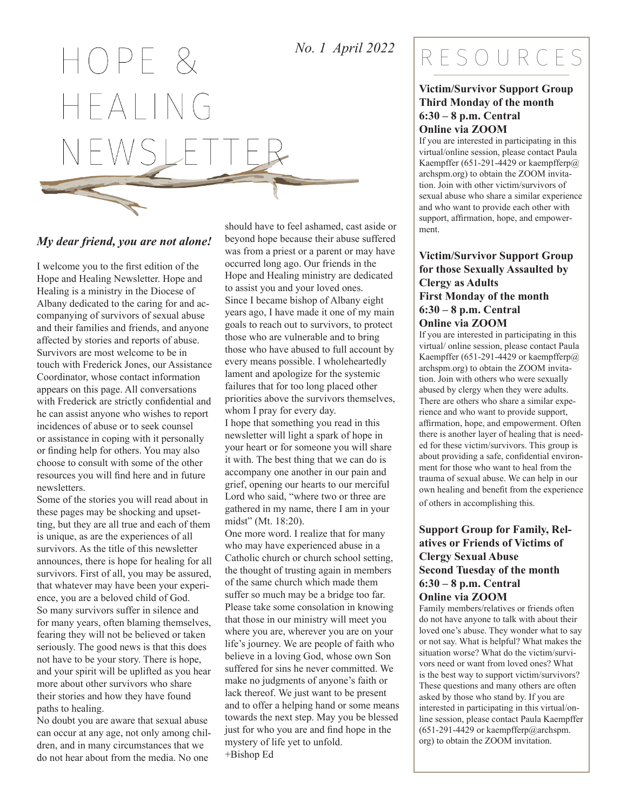### *No. 1 April 2022*

 $OPPF R$  $\overline{\phantom{a}}$   $\overline{\phantom{a}}$   $\overline{\phantom{a}}$   $\overline{\phantom{a}}$   $\overline{\phantom{a}}$   $\overline{\phantom{a}}$   $\overline{\phantom{a}}$   $\overline{\phantom{a}}$   $\overline{\phantom{a}}$   $\overline{\phantom{a}}$   $\overline{\phantom{a}}$   $\overline{\phantom{a}}$   $\overline{\phantom{a}}$   $\overline{\phantom{a}}$   $\overline{\phantom{a}}$   $\overline{\phantom{a}}$   $\overline{\phantom{a}}$   $\overline{\phantom{a}}$   $\overline{\$ 

#### *My dear friend, you are not alone!*

I welcome you to the first edition of the Hope and Healing Newsletter. Hope and Healing is a ministry in the Diocese of Albany dedicated to the caring for and accompanying of survivors of sexual abuse and their families and friends, and anyone affected by stories and reports of abuse. Survivors are most welcome to be in touch with Frederick Jones, our Assistance Coordinator, whose contact information appears on this page. All conversations with Frederick are strictly confidential and he can assist anyone who wishes to report incidences of abuse or to seek counsel or assistance in coping with it personally or finding help for others. You may also choose to consult with some of the other resources you will find here and in future newsletters.

Some of the stories you will read about in these pages may be shocking and upsetting, but they are all true and each of them is unique, as are the experiences of all survivors. As the title of this newsletter announces, there is hope for healing for all survivors. First of all, you may be assured, that whatever may have been your experience, you are a beloved child of God. So many survivors suffer in silence and for many years, often blaming themselves, fearing they will not be believed or taken seriously. The good news is that this does not have to be your story. There is hope, and your spirit will be uplifted as you hear more about other survivors who share their stories and how they have found paths to healing.

No doubt you are aware that sexual abuse can occur at any age, not only among children, and in many circumstances that we do not hear about from the media. No one

should have to feel ashamed, cast aside or beyond hope because their abuse suffered was from a priest or a parent or may have occurred long ago. Our friends in the Hope and Healing ministry are dedicated to assist you and your loved ones. Since I became bishop of Albany eight years ago, I have made it one of my main goals to reach out to survivors, to protect those who are vulnerable and to bring those who have abused to full account by every means possible. I wholeheartedly lament and apologize for the systemic failures that for too long placed other priorities above the survivors themselves, whom I pray for every day. I hope that something you read in this newsletter will light a spark of hope in your heart or for someone you will share it with. The best thing that we can do is accompany one another in our pain and grief, opening our hearts to our merciful Lord who said, "where two or three are gathered in my name, there I am in your midst" (Mt. 18:20). One more word. I realize that for many

who may have experienced abuse in a Catholic church or church school setting, the thought of trusting again in members of the same church which made them suffer so much may be a bridge too far. Please take some consolation in knowing that those in our ministry will meet you where you are, wherever you are on your life's journey. We are people of faith who believe in a loving God, whose own Son suffered for sins he never committed. We make no judgments of anyone's faith or lack thereof. We just want to be present and to offer a helping hand or some means towards the next step. May you be blessed just for who you are and find hope in the mystery of life yet to unfold. +Bishop Ed

## RESOURCES

#### **Victim/Survivor Support Group Third Monday of the month 6:30 – 8 p.m. Central Online via ZOOM**

If you are interested in participating in this virtual/online session, please contact Paula Kaempffer (651-291-4429 or kaempfferp $@$ archspm.org) to obtain the ZOOM invitation. Join with other victim/survivors of sexual abuse who share a similar experience and who want to provide each other with support, affirmation, hope, and empowerment.

#### **Victim/Survivor Support Group for those Sexually Assaulted by Clergy as Adults First Monday of the month 6:30 – 8 p.m. Central Online via ZOOM**

If you are interested in participating in this virtual/ online session, please contact Paula Kaempffer (651-291-4429 or kaempfferp@ archspm.org) to obtain the ZOOM invitation. Join with others who were sexually abused by clergy when they were adults. There are others who share a similar experience and who want to provide support, affirmation, hope, and empowerment. Often there is another layer of healing that is needed for these victim/survivors. This group is about providing a safe, confidential environment for those who want to heal from the trauma of sexual abuse. We can help in our own healing and benefit from the experience of others in accomplishing this.

#### **Support Group for Family, Relatives or Friends of Victims of Clergy Sexual Abuse Second Tuesday of the month 6:30 – 8 p.m. Central Online via ZOOM**

Family members/relatives or friends often do not have anyone to talk with about their loved one's abuse. They wonder what to say or not say. What is helpful? What makes the situation worse? What do the victim/survivors need or want from loved ones? What is the best way to support victim/survivors? These questions and many others are often asked by those who stand by. If you are interested in participating in this virtual/online session, please contact Paula Kaempffer (651-291-4429 or kaempfferp@archspm. org) to obtain the ZOOM invitation.